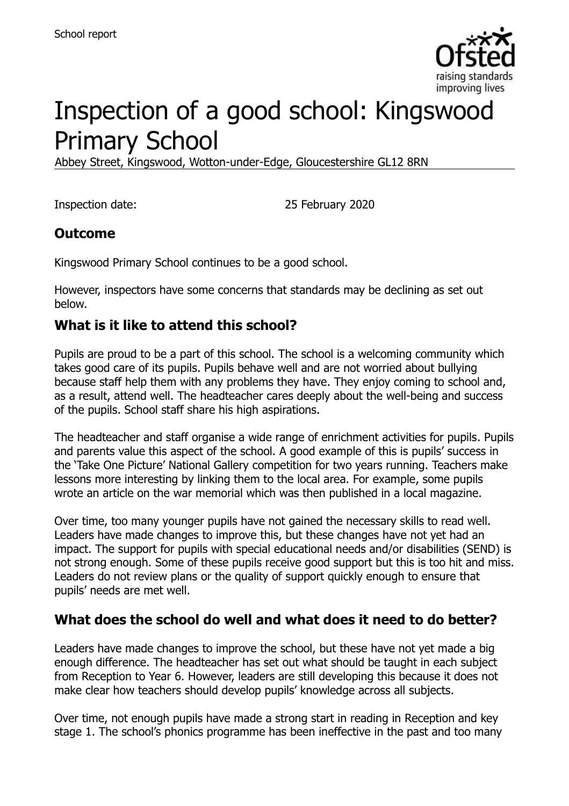

# Inspection of a good school: Kingswood Primary School

Abbey Street, Kingswood, Wotton-under-Edge, Gloucestershire GL12 8RN

Inspection date: 25 February 2020

# **Outcome**

Kingswood Primary School continues to be a good school.

However, inspectors have some concerns that standards may be declining as set out below.

### **What is it like to attend this school?**

Pupils are proud to be a part of this school. The school is a welcoming community which takes good care of its pupils. Pupils behave well and are not worried about bullying because staff help them with any problems they have. They enjoy coming to school and, as a result, attend well. The headteacher cares deeply about the well-being and success of the pupils. School staff share his high aspirations.

The headteacher and staff organise a wide range of enrichment activities for pupils. Pupils and parents value this aspect of the school. A good example of this is pupils' success in the 'Take One Picture' National Gallery competition for two years running. Teachers make lessons more interesting by linking them to the local area. For example, some pupils wrote an article on the war memorial which was then published in a local magazine.

Over time, too many younger pupils have not gained the necessary skills to read well. Leaders have made changes to improve this, but these changes have not yet had an impact. The support for pupils with special educational needs and/or disabilities (SEND) is not strong enough. Some of these pupils receive good support but this is too hit and miss. Leaders do not review plans or the quality of support quickly enough to ensure that pupils' needs are met well.

# **What does the school do well and what does it need to do better?**

Leaders have made changes to improve the school, but these have not yet made a big enough difference. The headteacher has set out what should be taught in each subject from Reception to Year 6. However, leaders are still developing this because it does not make clear how teachers should develop pupils' knowledge across all subjects.

Over time, not enough pupils have made a strong start in reading in Reception and key stage 1. The school's phonics programme has been ineffective in the past and too many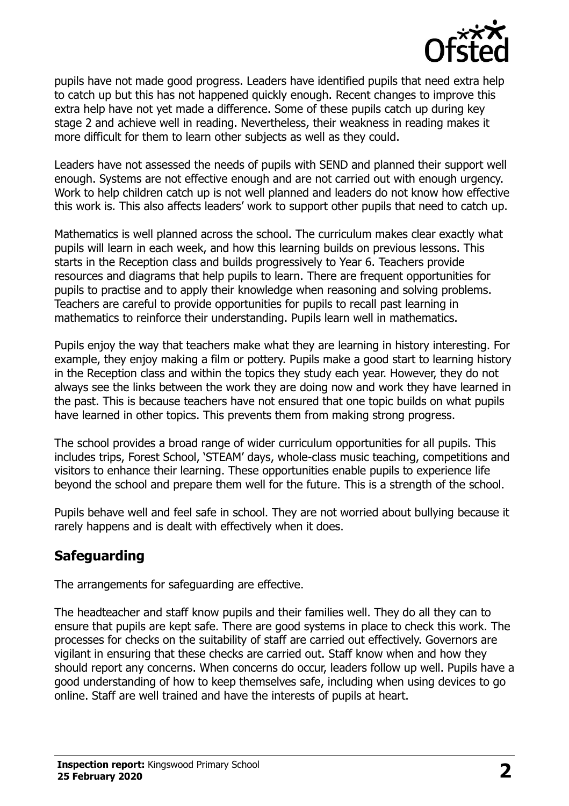

pupils have not made good progress. Leaders have identified pupils that need extra help to catch up but this has not happened quickly enough. Recent changes to improve this extra help have not yet made a difference. Some of these pupils catch up during key stage 2 and achieve well in reading. Nevertheless, their weakness in reading makes it more difficult for them to learn other subjects as well as they could.

Leaders have not assessed the needs of pupils with SEND and planned their support well enough. Systems are not effective enough and are not carried out with enough urgency. Work to help children catch up is not well planned and leaders do not know how effective this work is. This also affects leaders' work to support other pupils that need to catch up.

Mathematics is well planned across the school. The curriculum makes clear exactly what pupils will learn in each week, and how this learning builds on previous lessons. This starts in the Reception class and builds progressively to Year 6. Teachers provide resources and diagrams that help pupils to learn. There are frequent opportunities for pupils to practise and to apply their knowledge when reasoning and solving problems. Teachers are careful to provide opportunities for pupils to recall past learning in mathematics to reinforce their understanding. Pupils learn well in mathematics.

Pupils enjoy the way that teachers make what they are learning in history interesting. For example, they enjoy making a film or pottery. Pupils make a good start to learning history in the Reception class and within the topics they study each year. However, they do not always see the links between the work they are doing now and work they have learned in the past. This is because teachers have not ensured that one topic builds on what pupils have learned in other topics. This prevents them from making strong progress.

The school provides a broad range of wider curriculum opportunities for all pupils. This includes trips, Forest School, 'STEAM' days, whole-class music teaching, competitions and visitors to enhance their learning. These opportunities enable pupils to experience life beyond the school and prepare them well for the future. This is a strength of the school.

Pupils behave well and feel safe in school. They are not worried about bullying because it rarely happens and is dealt with effectively when it does.

# **Safeguarding**

The arrangements for safeguarding are effective.

The headteacher and staff know pupils and their families well. They do all they can to ensure that pupils are kept safe. There are good systems in place to check this work. The processes for checks on the suitability of staff are carried out effectively. Governors are vigilant in ensuring that these checks are carried out. Staff know when and how they should report any concerns. When concerns do occur, leaders follow up well. Pupils have a good understanding of how to keep themselves safe, including when using devices to go online. Staff are well trained and have the interests of pupils at heart.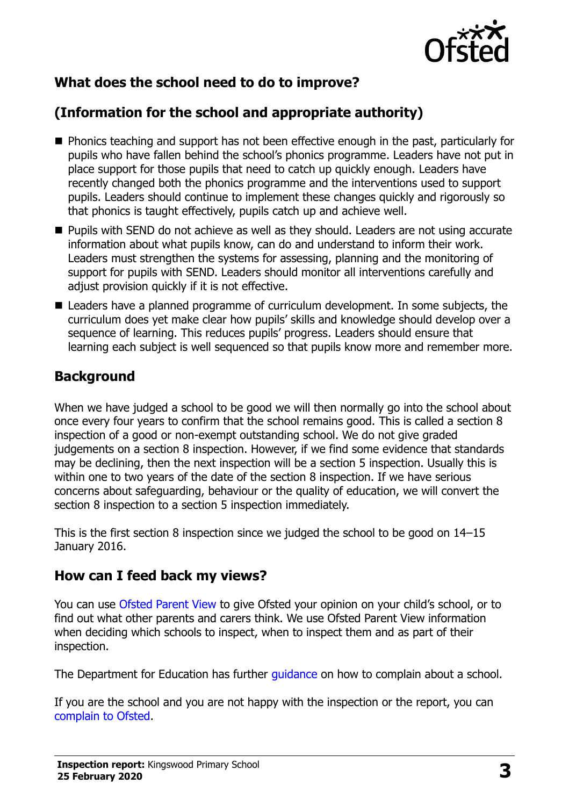

# **What does the school need to do to improve?**

# **(Information for the school and appropriate authority)**

- **Phonics teaching and support has not been effective enough in the past, particularly for** pupils who have fallen behind the school's phonics programme. Leaders have not put in place support for those pupils that need to catch up quickly enough. Leaders have recently changed both the phonics programme and the interventions used to support pupils. Leaders should continue to implement these changes quickly and rigorously so that phonics is taught effectively, pupils catch up and achieve well.
- **Pupils with SEND do not achieve as well as they should. Leaders are not using accurate** information about what pupils know, can do and understand to inform their work. Leaders must strengthen the systems for assessing, planning and the monitoring of support for pupils with SEND. Leaders should monitor all interventions carefully and adjust provision quickly if it is not effective.
- Leaders have a planned programme of curriculum development. In some subjects, the curriculum does yet make clear how pupils' skills and knowledge should develop over a sequence of learning. This reduces pupils' progress. Leaders should ensure that learning each subject is well sequenced so that pupils know more and remember more.

### **Background**

When we have judged a school to be good we will then normally go into the school about once every four years to confirm that the school remains good. This is called a section 8 inspection of a good or non-exempt outstanding school. We do not give graded judgements on a section 8 inspection. However, if we find some evidence that standards may be declining, then the next inspection will be a section 5 inspection. Usually this is within one to two years of the date of the section 8 inspection. If we have serious concerns about safeguarding, behaviour or the quality of education, we will convert the section 8 inspection to a section 5 inspection immediately.

This is the first section 8 inspection since we judged the school to be good on 14–15 January 2016.

#### **How can I feed back my views?**

You can use [Ofsted Parent View](https://parentview.ofsted.gov.uk/) to give Ofsted your opinion on your child's school, or to find out what other parents and carers think. We use Ofsted Parent View information when deciding which schools to inspect, when to inspect them and as part of their inspection.

The Department for Education has further quidance on how to complain about a school.

If you are the school and you are not happy with the inspection or the report, you can [complain to Ofsted.](https://www.gov.uk/complain-ofsted-report)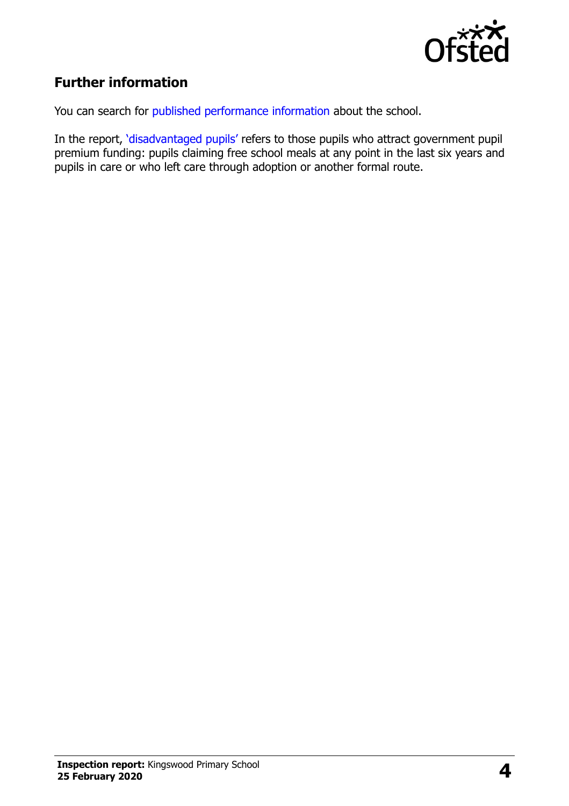

# **Further information**

You can search for [published performance information](http://www.compare-school-performance.service.gov.uk/) about the school.

In the report, '[disadvantaged pupils](http://www.gov.uk/guidance/pupil-premium-information-for-schools-and-alternative-provision-settings)' refers to those pupils who attract government pupil premium funding: pupils claiming free school meals at any point in the last six years and pupils in care or who left care through adoption or another formal route.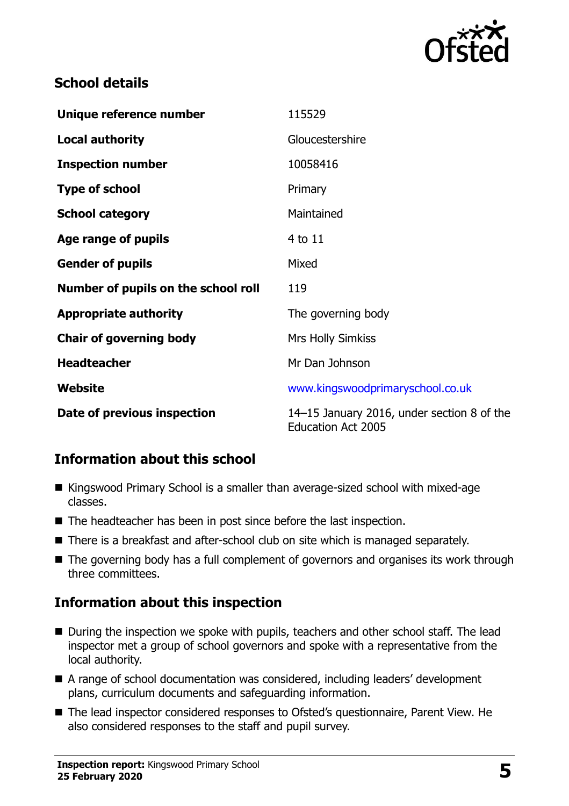

### **School details**

| Unique reference number             | 115529                                                                  |
|-------------------------------------|-------------------------------------------------------------------------|
| <b>Local authority</b>              | Gloucestershire                                                         |
| <b>Inspection number</b>            | 10058416                                                                |
| <b>Type of school</b>               | Primary                                                                 |
| <b>School category</b>              | Maintained                                                              |
| Age range of pupils                 | 4 to 11                                                                 |
| <b>Gender of pupils</b>             | Mixed                                                                   |
| Number of pupils on the school roll | 119                                                                     |
| <b>Appropriate authority</b>        | The governing body                                                      |
| <b>Chair of governing body</b>      | <b>Mrs Holly Simkiss</b>                                                |
| <b>Headteacher</b>                  | Mr Dan Johnson                                                          |
| Website                             | www.kingswoodprimaryschool.co.uk                                        |
| Date of previous inspection         | 14–15 January 2016, under section 8 of the<br><b>Education Act 2005</b> |

# **Information about this school**

- Kingswood Primary School is a smaller than average-sized school with mixed-age classes.
- The headteacher has been in post since before the last inspection.
- There is a breakfast and after-school club on site which is managed separately.
- The governing body has a full complement of governors and organises its work through three committees.

# **Information about this inspection**

- During the inspection we spoke with pupils, teachers and other school staff. The lead inspector met a group of school governors and spoke with a representative from the local authority.
- A range of school documentation was considered, including leaders' development plans, curriculum documents and safeguarding information.
- The lead inspector considered responses to Ofsted's questionnaire, Parent View. He also considered responses to the staff and pupil survey.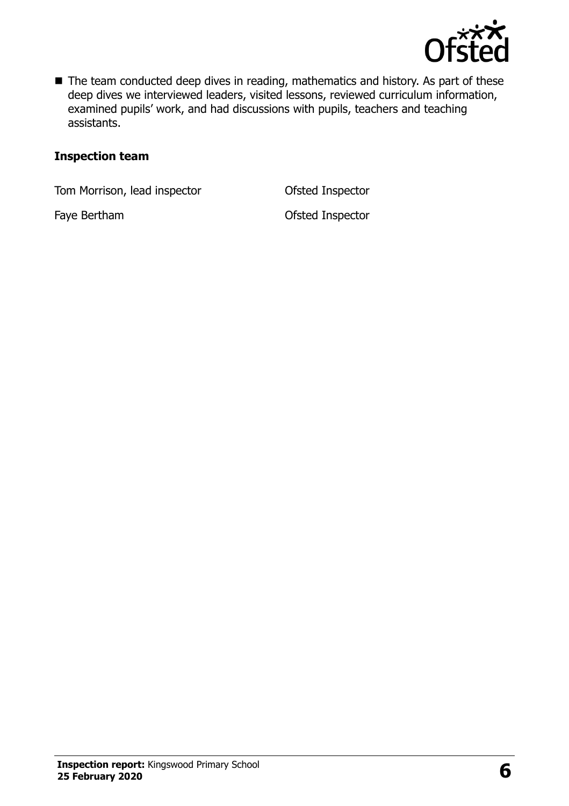

■ The team conducted deep dives in reading, mathematics and history. As part of these deep dives we interviewed leaders, visited lessons, reviewed curriculum information, examined pupils' work, and had discussions with pupils, teachers and teaching assistants.

#### **Inspection team**

Tom Morrison, lead inspector **Ofsted Inspector** 

Faye Bertham **Contract Contract Contract Contract Contract Contract Contract Contract Contract Contract Contract Contract Contract Contract Contract Contract Contract Contract Contract Contract Contract Contract Contract C**